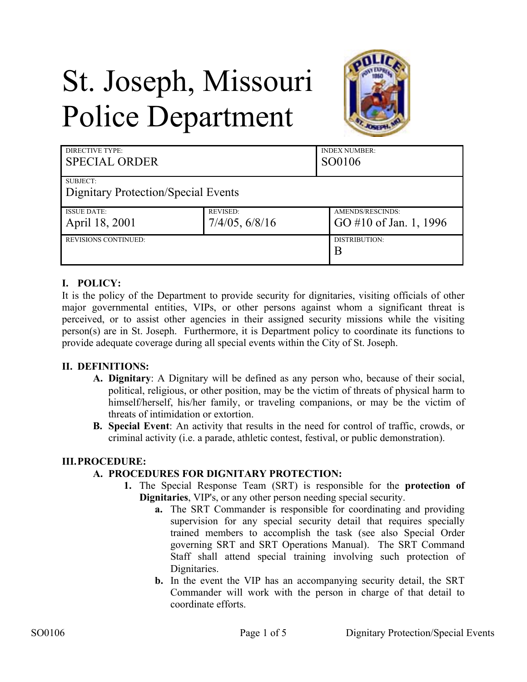# St. Joseph, Missouri Police Department



| <b>DIRECTIVE TYPE:</b><br><b>SPECIAL ORDER</b> |                 | <b>INDEX NUMBER:</b><br>SO0106 |
|------------------------------------------------|-----------------|--------------------------------|
| SUBJECT:                                       |                 |                                |
| Dignitary Protection/Special Events            |                 |                                |
| <b>ISSUE DATE:</b>                             | <b>REVISED:</b> | AMENDS/RESCINDS:               |
| April 18, 2001                                 | 7/4/05, 6/8/16  | GO #10 of Jan. 1, 1996         |
| <b>REVISIONS CONTINUED:</b>                    |                 | DISTRIBUTION:                  |
|                                                |                 | B                              |

# **I. POLICY:**

It is the policy of the Department to provide security for dignitaries, visiting officials of other major governmental entities, VIPs, or other persons against whom a significant threat is perceived, or to assist other agencies in their assigned security missions while the visiting person(s) are in St. Joseph. Furthermore, it is Department policy to coordinate its functions to provide adequate coverage during all special events within the City of St. Joseph.

# **II. DEFINITIONS:**

- **A. Dignitary**: A Dignitary will be defined as any person who, because of their social, political, religious, or other position, may be the victim of threats of physical harm to himself/herself, his/her family, or traveling companions, or may be the victim of threats of intimidation or extortion.
- **B. Special Event**: An activity that results in the need for control of traffic, crowds, or criminal activity (i.e. a parade, athletic contest, festival, or public demonstration).

# **III.PROCEDURE:**

# **A. PROCEDURES FOR DIGNITARY PROTECTION:**

- **1.** The Special Response Team (SRT) is responsible for the **protection of Dignitaries**, VIP's, or any other person needing special security.
	- **a.** The SRT Commander is responsible for coordinating and providing supervision for any special security detail that requires specially trained members to accomplish the task (see also Special Order governing SRT and SRT Operations Manual). The SRT Command Staff shall attend special training involving such protection of Dignitaries.
	- **b.** In the event the VIP has an accompanying security detail, the SRT Commander will work with the person in charge of that detail to coordinate efforts.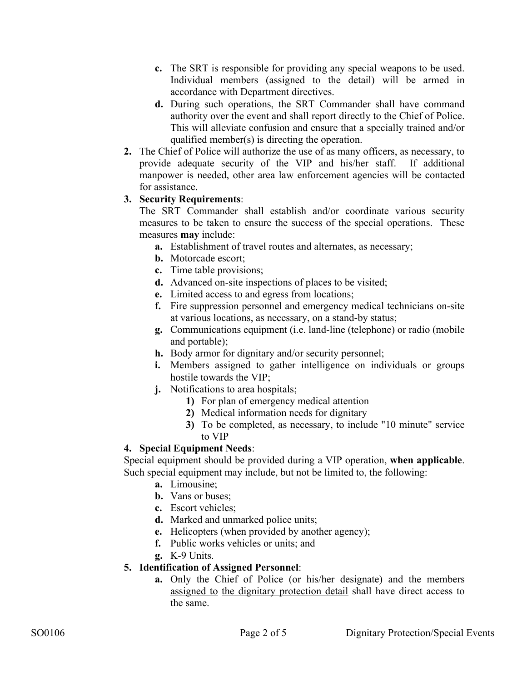- **c.** The SRT is responsible for providing any special weapons to be used. Individual members (assigned to the detail) will be armed in accordance with Department directives.
- **d.** During such operations, the SRT Commander shall have command authority over the event and shall report directly to the Chief of Police. This will alleviate confusion and ensure that a specially trained and/or qualified member(s) is directing the operation.
- **2.** The Chief of Police will authorize the use of as many officers, as necessary, to provide adequate security of the VIP and his/her staff. If additional manpower is needed, other area law enforcement agencies will be contacted for assistance.

# **3. Security Requirements**:

The SRT Commander shall establish and/or coordinate various security measures to be taken to ensure the success of the special operations. These measures **may** include:

- **a.** Establishment of travel routes and alternates, as necessary;
- **b.** Motorcade escort;
- **c.** Time table provisions;
- **d.** Advanced on-site inspections of places to be visited;
- **e.** Limited access to and egress from locations;
- **f.** Fire suppression personnel and emergency medical technicians on-site at various locations, as necessary, on a stand-by status;
- **g.** Communications equipment (i.e. land-line (telephone) or radio (mobile and portable);
- **h.** Body armor for dignitary and/or security personnel;
- **i.** Members assigned to gather intelligence on individuals or groups hostile towards the VIP;
- **j.** Notifications to area hospitals;
	- **1)** For plan of emergency medical attention
	- **2)** Medical information needs for dignitary
	- **3)** To be completed, as necessary, to include "10 minute" service to VIP

# **4. Special Equipment Needs**:

Special equipment should be provided during a VIP operation, **when applicable**. Such special equipment may include, but not be limited to, the following:

- **a.** Limousine;
- **b.** Vans or buses;
- **c.** Escort vehicles;
- **d.** Marked and unmarked police units;
- **e.** Helicopters (when provided by another agency);
- **f.** Public works vehicles or units; and
- **g.** K-9 Units.

# **5. Identification of Assigned Personnel**:

**a.** Only the Chief of Police (or his/her designate) and the members assigned to the dignitary protection detail shall have direct access to the same.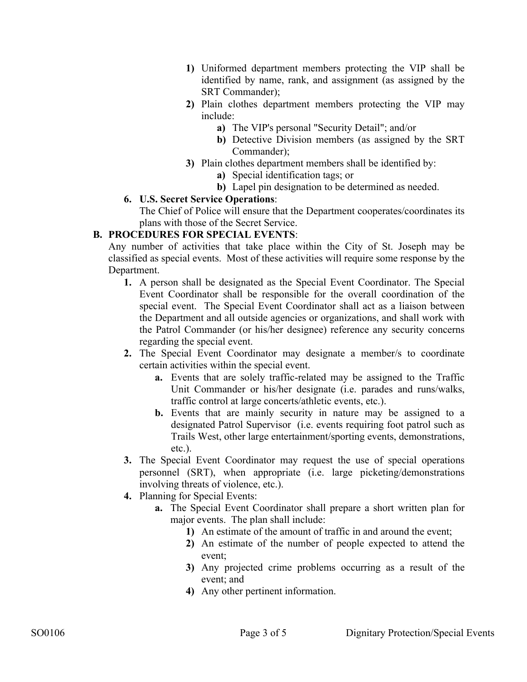- **1)** Uniformed department members protecting the VIP shall be identified by name, rank, and assignment (as assigned by the SRT Commander);
- **2)** Plain clothes department members protecting the VIP may include:
	- **a)** The VIP's personal "Security Detail"; and/or
	- **b)** Detective Division members (as assigned by the SRT Commander);
- **3)** Plain clothes department members shall be identified by:
	- **a)** Special identification tags; or
	- **b)** Lapel pin designation to be determined as needed.

#### **6. U.S. Secret Service Operations**:

The Chief of Police will ensure that the Department cooperates/coordinates its plans with those of the Secret Service.

#### **B. PROCEDURES FOR SPECIAL EVENTS**:

Any number of activities that take place within the City of St. Joseph may be classified as special events. Most of these activities will require some response by the Department.

- **1.** A person shall be designated as the Special Event Coordinator. The Special Event Coordinator shall be responsible for the overall coordination of the special event. The Special Event Coordinator shall act as a liaison between the Department and all outside agencies or organizations, and shall work with the Patrol Commander (or his/her designee) reference any security concerns regarding the special event.
- **2.** The Special Event Coordinator may designate a member/s to coordinate certain activities within the special event.
	- **a.** Events that are solely traffic-related may be assigned to the Traffic Unit Commander or his/her designate (i.e. parades and runs/walks, traffic control at large concerts/athletic events, etc.).
	- **b.** Events that are mainly security in nature may be assigned to a designated Patrol Supervisor (i.e. events requiring foot patrol such as Trails West, other large entertainment/sporting events, demonstrations, etc.).
- **3.** The Special Event Coordinator may request the use of special operations personnel (SRT), when appropriate (i.e. large picketing/demonstrations involving threats of violence, etc.).
- **4.** Planning for Special Events:
	- **a.** The Special Event Coordinator shall prepare a short written plan for major events. The plan shall include:
		- **1)** An estimate of the amount of traffic in and around the event;
		- **2)** An estimate of the number of people expected to attend the event;
		- **3)** Any projected crime problems occurring as a result of the event; and
		- **4)** Any other pertinent information.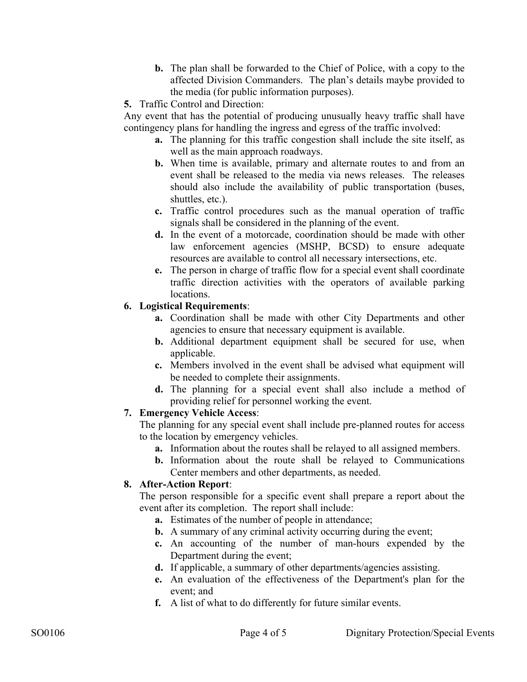- **b.** The plan shall be forwarded to the Chief of Police, with a copy to the affected Division Commanders. The plan's details maybe provided to the media (for public information purposes).
- **5.** Traffic Control and Direction:

Any event that has the potential of producing unusually heavy traffic shall have contingency plans for handling the ingress and egress of the traffic involved:

- **a.** The planning for this traffic congestion shall include the site itself, as well as the main approach roadways.
- **b.** When time is available, primary and alternate routes to and from an event shall be released to the media via news releases. The releases should also include the availability of public transportation (buses, shuttles, etc.).
- **c.** Traffic control procedures such as the manual operation of traffic signals shall be considered in the planning of the event.
- **d.** In the event of a motorcade, coordination should be made with other law enforcement agencies (MSHP, BCSD) to ensure adequate resources are available to control all necessary intersections, etc.
- **e.** The person in charge of traffic flow for a special event shall coordinate traffic direction activities with the operators of available parking locations.

# **6. Logistical Requirements**:

- **a.** Coordination shall be made with other City Departments and other agencies to ensure that necessary equipment is available.
- **b.** Additional department equipment shall be secured for use, when applicable.
- **c.** Members involved in the event shall be advised what equipment will be needed to complete their assignments.
- **d.** The planning for a special event shall also include a method of providing relief for personnel working the event.

# **7. Emergency Vehicle Access**:

The planning for any special event shall include pre-planned routes for access to the location by emergency vehicles.

- **a.** Information about the routes shall be relayed to all assigned members.
- **b.** Information about the route shall be relayed to Communications Center members and other departments, as needed.

# **8. After-Action Report**:

The person responsible for a specific event shall prepare a report about the event after its completion. The report shall include:

- **a.** Estimates of the number of people in attendance;
- **b.** A summary of any criminal activity occurring during the event;
- **c.** An accounting of the number of man-hours expended by the Department during the event;
- **d.** If applicable, a summary of other departments/agencies assisting.
- **e.** An evaluation of the effectiveness of the Department's plan for the event; and
- **f.** A list of what to do differently for future similar events.